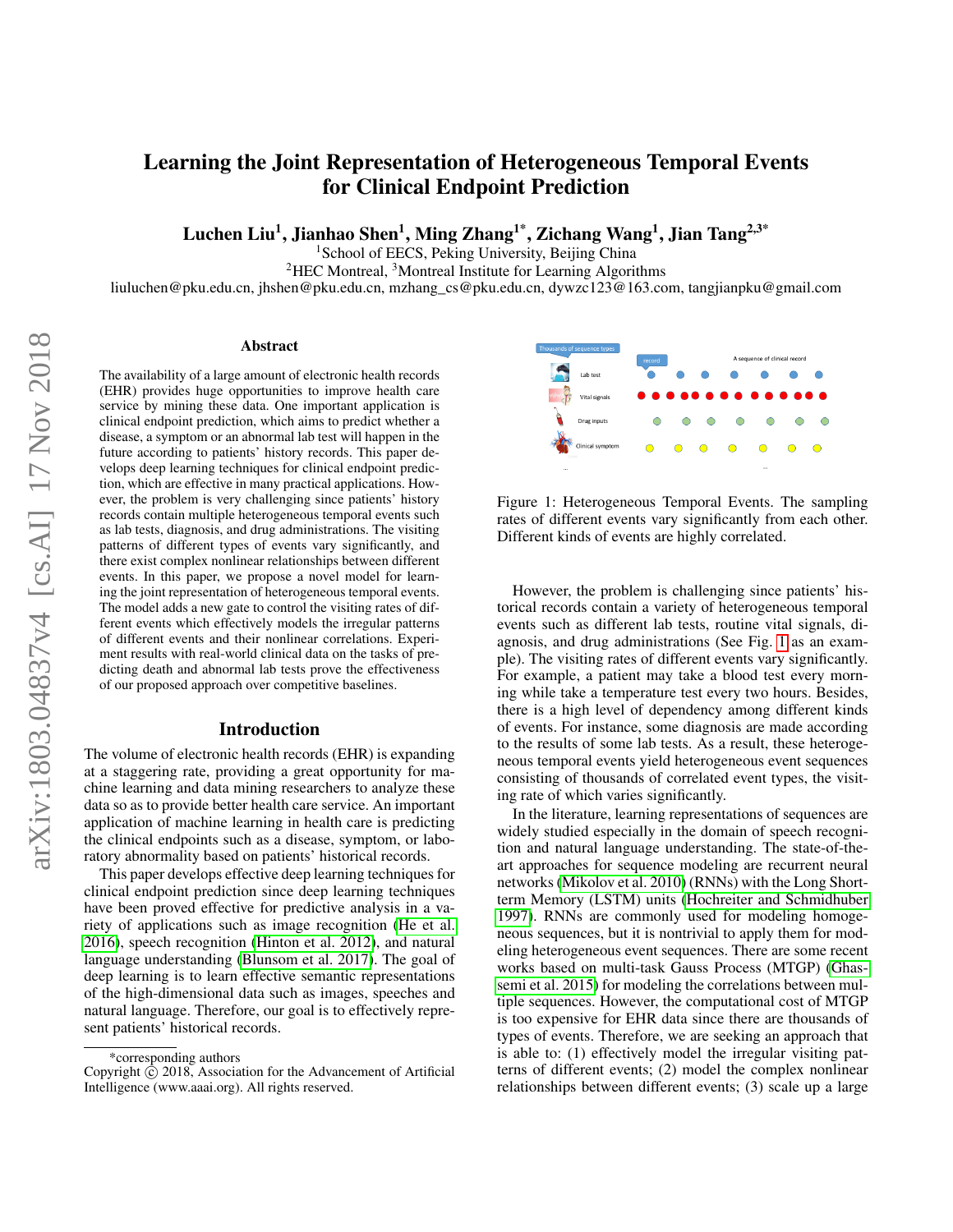# Learning the Joint Representation of Heterogeneous Temporal Events for Clinical Endpoint Prediction

Luchen Liu<sup>1</sup>, Jianhao Shen<sup>1</sup>, Ming Zhang<sup>1\*</sup>, Zichang Wang<sup>1</sup>, Jian Tang<sup>2,3\*</sup>

<sup>1</sup>School of EECS, Peking University, Beijing China

<sup>2</sup>HEC Montreal, <sup>3</sup>Montreal Institute for Learning Algorithms

liuluchen@pku.edu.cn, jhshen@pku.edu.cn, mzhang\_cs@pku.edu.cn, dywzc123@163.com, tangjianpku@gmail.com

#### Abstract

The availability of a large amount of electronic health records (EHR) provides huge opportunities to improve health care service by mining these data. One important application is clinical endpoint prediction, which aims to predict whether a disease, a symptom or an abnormal lab test will happen in the future according to patients' history records. This paper develops deep learning techniques for clinical endpoint prediction, which are effective in many practical applications. However, the problem is very challenging since patients' history records contain multiple heterogeneous temporal events such as lab tests, diagnosis, and drug administrations. The visiting patterns of different types of events vary significantly, and there exist complex nonlinear relationships between different events. In this paper, we propose a novel model for learning the joint representation of heterogeneous temporal events. The model adds a new gate to control the visiting rates of different events which effectively models the irregular patterns of different events and their nonlinear correlations. Experiment results with real-world clinical data on the tasks of predicting death and abnormal lab tests prove the effectiveness of our proposed approach over competitive baselines.

#### Introduction

The volume of electronic health records (EHR) is expanding at a staggering rate, providing a great opportunity for machine learning and data mining researchers to analyze these data so as to provide better health care service. An important application of machine learning in health care is predicting the clinical endpoints such as a disease, symptom, or laboratory abnormality based on patients' historical records.

This paper develops effective deep learning techniques for clinical endpoint prediction since deep learning techniques have been proved effective for predictive analysis in a variety of applications such as image recognition [\(He et al.](#page-7-0) [2016\)](#page-7-0), speech recognition [\(Hinton et al. 2012\)](#page-7-1), and natural language understanding [\(Blunsom et al. 2017\)](#page-7-2). The goal of deep learning is to learn effective semantic representations of the high-dimensional data such as images, speeches and natural language. Therefore, our goal is to effectively represent patients' historical records.



Figure 1: Heterogeneous Temporal Events. The sampling rates of different events vary significantly from each other. Different kinds of events are highly correlated.

<span id="page-0-0"></span>However, the problem is challenging since patients' historical records contain a variety of heterogeneous temporal events such as different lab tests, routine vital signals, diagnosis, and drug administrations (See Fig. [1](#page-0-0) as an example). The visiting rates of different events vary significantly. For example, a patient may take a blood test every morning while take a temperature test every two hours. Besides, there is a high level of dependency among different kinds of events. For instance, some diagnosis are made according to the results of some lab tests. As a result, these heterogeneous temporal events yield heterogeneous event sequences consisting of thousands of correlated event types, the visiting rate of which varies significantly.

In the literature, learning representations of sequences are widely studied especially in the domain of speech recognition and natural language understanding. The state-of-theart approaches for sequence modeling are recurrent neural networks [\(Mikolov et al. 2010\)](#page-7-3) (RNNs) with the Long Shortterm Memory (LSTM) units [\(Hochreiter and Schmidhuber](#page-7-4) [1997\)](#page-7-4). RNNs are commonly used for modeling homogeneous sequences, but it is nontrivial to apply them for modeling heterogeneous event sequences. There are some recent works based on multi-task Gauss Process (MTGP) [\(Ghas](#page-7-5)[semi et al. 2015\)](#page-7-5) for modeling the correlations between multiple sequences. However, the computational cost of MTGP is too expensive for EHR data since there are thousands of types of events. Therefore, we are seeking an approach that is able to: (1) effectively model the irregular visiting patterns of different events; (2) model the complex nonlinear relationships between different events; (3) scale up a large

<sup>\*</sup>corresponding authors

Copyright  $\odot$  2018, Association for the Advancement of Artificial Intelligence (www.aaai.org). All rights reserved.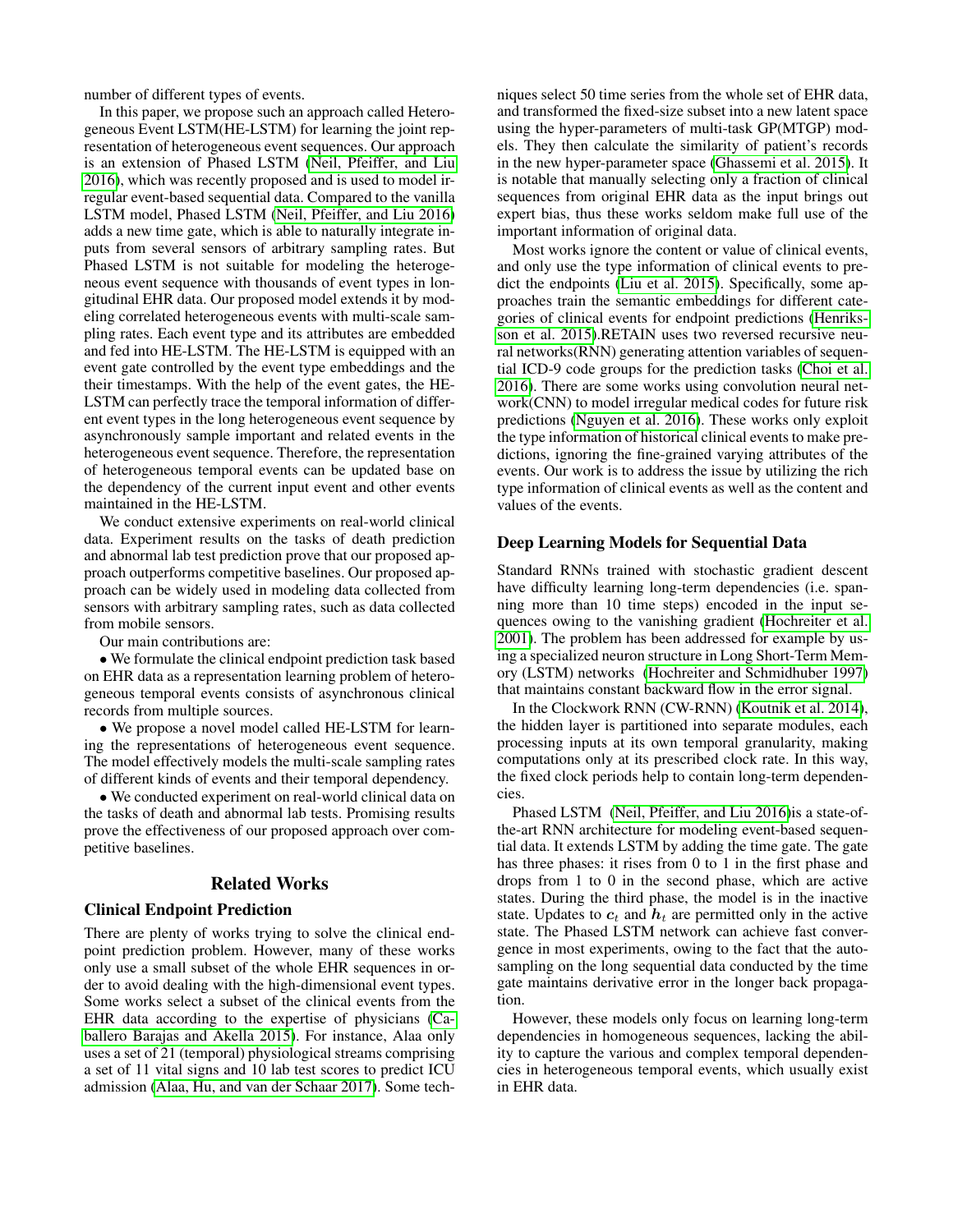number of different types of events.

In this paper, we propose such an approach called Heterogeneous Event LSTM(HE-LSTM) for learning the joint representation of heterogeneous event sequences. Our approach is an extension of Phased LSTM [\(Neil, Pfeiffer, and Liu](#page-8-0) [2016\)](#page-8-0), which was recently proposed and is used to model irregular event-based sequential data. Compared to the vanilla LSTM model, Phased LSTM [\(Neil, Pfeiffer, and Liu 2016\)](#page-8-0) adds a new time gate, which is able to naturally integrate inputs from several sensors of arbitrary sampling rates. But Phased LSTM is not suitable for modeling the heterogeneous event sequence with thousands of event types in longitudinal EHR data. Our proposed model extends it by modeling correlated heterogeneous events with multi-scale sampling rates. Each event type and its attributes are embedded and fed into HE-LSTM. The HE-LSTM is equipped with an event gate controlled by the event type embeddings and the their timestamps. With the help of the event gates, the HE-LSTM can perfectly trace the temporal information of different event types in the long heterogeneous event sequence by asynchronously sample important and related events in the heterogeneous event sequence. Therefore, the representation of heterogeneous temporal events can be updated base on the dependency of the current input event and other events maintained in the HE-LSTM.

We conduct extensive experiments on real-world clinical data. Experiment results on the tasks of death prediction and abnormal lab test prediction prove that our proposed approach outperforms competitive baselines. Our proposed approach can be widely used in modeling data collected from sensors with arbitrary sampling rates, such as data collected from mobile sensors.

Our main contributions are:

• We formulate the clinical endpoint prediction task based on EHR data as a representation learning problem of heterogeneous temporal events consists of asynchronous clinical records from multiple sources.

• We propose a novel model called HE-LSTM for learning the representations of heterogeneous event sequence. The model effectively models the multi-scale sampling rates of different kinds of events and their temporal dependency.

• We conducted experiment on real-world clinical data on the tasks of death and abnormal lab tests. Promising results prove the effectiveness of our proposed approach over competitive baselines.

# Related Works

## Clinical Endpoint Prediction

There are plenty of works trying to solve the clinical endpoint prediction problem. However, many of these works only use a small subset of the whole EHR sequences in order to avoid dealing with the high-dimensional event types. Some works select a subset of the clinical events from the EHR data according to the expertise of physicians [\(Ca](#page-7-6)[ballero Barajas and Akella 2015\)](#page-7-6). For instance, Alaa only uses a set of 21 (temporal) physiological streams comprising a set of 11 vital signs and 10 lab test scores to predict ICU admission [\(Alaa, Hu, and van der Schaar 2017\)](#page-7-7). Some tech-

niques select 50 time series from the whole set of EHR data, and transformed the fixed-size subset into a new latent space using the hyper-parameters of multi-task GP(MTGP) models. They then calculate the similarity of patient's records in the new hyper-parameter space [\(Ghassemi et al. 2015\)](#page-7-5). It is notable that manually selecting only a fraction of clinical sequences from original EHR data as the input brings out expert bias, thus these works seldom make full use of the important information of original data.

Most works ignore the content or value of clinical events, and only use the type information of clinical events to predict the endpoints [\(Liu et al. 2015\)](#page-7-8). Specifically, some approaches train the semantic embeddings for different categories of clinical events for endpoint predictions [\(Henriks](#page-7-9)[son et al. 2015\)](#page-7-9).RETAIN uses two reversed recursive neural networks(RNN) generating attention variables of sequential ICD-9 code groups for the prediction tasks [\(Choi et al.](#page-7-10) [2016\)](#page-7-10). There are some works using convolution neural network(CNN) to model irregular medical codes for future risk predictions [\(Nguyen et al. 2016\)](#page-8-1). These works only exploit the type information of historical clinical events to make predictions, ignoring the fine-grained varying attributes of the events. Our work is to address the issue by utilizing the rich type information of clinical events as well as the content and values of the events.

## Deep Learning Models for Sequential Data

Standard RNNs trained with stochastic gradient descent have difficulty learning long-term dependencies (i.e. spanning more than 10 time steps) encoded in the input sequences owing to the vanishing gradient [\(Hochreiter et al.](#page-7-11) [2001\)](#page-7-11). The problem has been addressed for example by using a specialized neuron structure in Long Short-Term Memory (LSTM) networks [\(Hochreiter and Schmidhuber 1997\)](#page-7-4) that maintains constant backward flow in the error signal.

In the Clockwork RNN (CW-RNN) [\(Koutnik et al. 2014\)](#page-7-12), the hidden layer is partitioned into separate modules, each processing inputs at its own temporal granularity, making computations only at its prescribed clock rate. In this way, the fixed clock periods help to contain long-term dependencies.

Phased LSTM [\(Neil, Pfeiffer, and Liu 2016\)](#page-8-0)is a state-ofthe-art RNN architecture for modeling event-based sequential data. It extends LSTM by adding the time gate. The gate has three phases: it rises from 0 to 1 in the first phase and drops from 1 to 0 in the second phase, which are active states. During the third phase, the model is in the inactive state. Updates to  $c_t$  and  $h_t$  are permitted only in the active state. The Phased LSTM network can achieve fast convergence in most experiments, owing to the fact that the autosampling on the long sequential data conducted by the time gate maintains derivative error in the longer back propagation.

However, these models only focus on learning long-term dependencies in homogeneous sequences, lacking the ability to capture the various and complex temporal dependencies in heterogeneous temporal events, which usually exist in EHR data.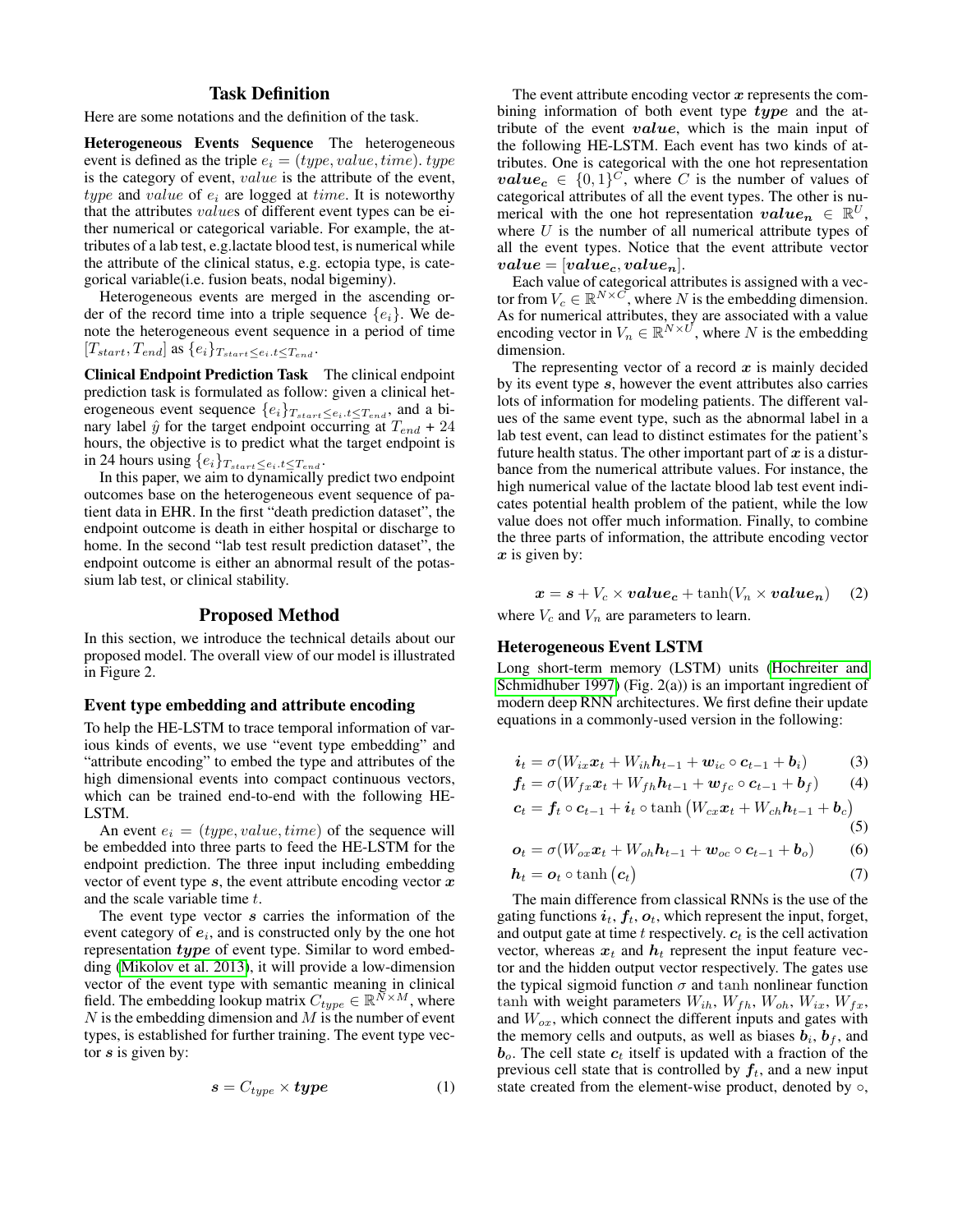## Task Definition

Here are some notations and the definition of the task.

Heterogeneous Events Sequence The heterogeneous event is defined as the triple  $e_i = (type, value, time)$ . type is the category of event, value is the attribute of the event, type and value of  $e_i$  are logged at time. It is noteworthy that the attributes values of different event types can be either numerical or categorical variable. For example, the attributes of a lab test, e.g.lactate blood test, is numerical while the attribute of the clinical status, e.g. ectopia type, is categorical variable(i.e. fusion beats, nodal bigeminy).

Heterogeneous events are merged in the ascending order of the record time into a triple sequence  $\{e_i\}$ . We denote the heterogeneous event sequence in a period of time  $[T_{start}, T_{end}]$  as  $\{e_i\}_{T_{start} \leq e_i.t \leq T_{end}}$ .

Clinical Endpoint Prediction Task The clinical endpoint prediction task is formulated as follow: given a clinical heterogeneous event sequence  $\{e_i\}_{T_{start} \leq e_i \cdot t \leq T_{end}}$ , and a binary label  $\hat{y}$  for the target endpoint occurring at  $T_{end} + 24$ hours, the objective is to predict what the target endpoint is in 24 hours using  $\{e_i\}_{T_{start}\leq e_i.t\leq T_{end}}$ .

In this paper, we aim to dynamically predict two endpoint outcomes base on the heterogeneous event sequence of patient data in EHR. In the first "death prediction dataset", the endpoint outcome is death in either hospital or discharge to home. In the second "lab test result prediction dataset", the endpoint outcome is either an abnormal result of the potassium lab test, or clinical stability.

## Proposed Method

In this section, we introduce the technical details about our proposed model. The overall view of our model is illustrated in Figure 2.

#### Event type embedding and attribute encoding

To help the HE-LSTM to trace temporal information of various kinds of events, we use "event type embedding" and "attribute encoding" to embed the type and attributes of the high dimensional events into compact continuous vectors, which can be trained end-to-end with the following HE-LSTM.

An event  $e_i = (type, value, time)$  of the sequence will be embedded into three parts to feed the HE-LSTM for the endpoint prediction. The three input including embedding vector of event type  $s$ , the event attribute encoding vector  $x$ and the scale variable time t.

The event type vector  $s$  carries the information of the event category of  $e_i$ , and is constructed only by the one hot representation type of event type. Similar to word embedding [\(Mikolov et al. 2013\)](#page-8-2), it will provide a low-dimension vector of the event type with semantic meaning in clinical field. The embedding lookup matrix  $C_{type} \in \mathbb{R}^{\bar{N} \times M}$ , where  $N$  is the embedding dimension and  $M$  is the number of event types, is established for further training. The event type vector  $s$  is given by:

$$
s = C_{type} \times type \tag{1}
$$

The event attribute encoding vector  $x$  represents the combining information of both event type  $type$  and the attribute of the event value, which is the main input of the following HE-LSTM. Each event has two kinds of attributes. One is categorical with the one hot representation  $value_c \in \{0,1\}^C$ , where C is the number of values of categorical attributes of all the event types. The other is numerical with the one hot representation  $value_n \in \mathbb{R}^U$ , where  $U$  is the number of all numerical attribute types of all the event types. Notice that the event attribute vector  $value = [value_c, value_n].$ 

Each value of categorical attributes is assigned with a vector from  $V_c \in \mathbb{R}^{N \times C}$ , where N is the embedding dimension. As for numerical attributes, they are associated with a value encoding vector in  $V_n \in \mathbb{R}^{N \times U}$ , where N is the embedding dimension.

The representing vector of a record  $x$  is mainly decided by its event type s, however the event attributes also carries lots of information for modeling patients. The different values of the same event type, such as the abnormal label in a lab test event, can lead to distinct estimates for the patient's future health status. The other important part of  $x$  is a disturbance from the numerical attribute values. For instance, the high numerical value of the lactate blood lab test event indicates potential health problem of the patient, while the low value does not offer much information. Finally, to combine the three parts of information, the attribute encoding vector  $x$  is given by:

 $x = s + V_c \times value_c + \tanh(V_n \times value_n)$  (2) where  $V_c$  and  $V_n$  are parameters to learn.

#### Heterogeneous Event LSTM

Long short-term memory (LSTM) units [\(Hochreiter and](#page-7-4) [Schmidhuber 1997\)](#page-7-4) (Fig. 2(a)) is an important ingredient of modern deep RNN architectures. We first define their update equations in a commonly-used version in the following:

$$
\boldsymbol{i}_t = \sigma(W_{ix}\boldsymbol{x}_t + W_{ih}\boldsymbol{h}_{t-1} + \boldsymbol{w}_{ic} \circ \boldsymbol{c}_{t-1} + \boldsymbol{b}_i)
$$
(3)

$$
\mathbf{f}_t = \sigma(W_{fx}\mathbf{x}_t + W_{fh}\mathbf{h}_{t-1} + \mathbf{w}_{fc} \circ \mathbf{c}_{t-1} + \mathbf{b}_f) \tag{4}
$$

$$
\boldsymbol{c}_t = \boldsymbol{f}_t \circ \boldsymbol{c}_{t-1} + \boldsymbol{i}_t \circ \tanh \left( W_{cx} \boldsymbol{x}_t + W_{ch} \boldsymbol{h}_{t-1} + \boldsymbol{b}_c \right) \tag{5}
$$

$$
\boldsymbol{o}_t = \sigma(W_{ox}\boldsymbol{x}_t + W_{oh}\boldsymbol{h}_{t-1} + \boldsymbol{w}_{oc} \circ \boldsymbol{c}_{t-1} + \boldsymbol{b}_o) \qquad (6)
$$

$$
h_t = o_t \circ \tanh\left(c_t\right) \tag{7}
$$

The main difference from classical RNNs is the use of the gating functions  $i_t$ ,  $f_t$ ,  $o_t$ , which represent the input, forget, and output gate at time  $t$  respectively.  $c_t$  is the cell activation vector, whereas  $x_t$  and  $h_t$  represent the input feature vector and the hidden output vector respectively. The gates use the typical sigmoid function  $\sigma$  and tanh nonlinear function tanh with weight parameters  $W_{ih}$ ,  $W_{fh}$ ,  $W_{oh}$ ,  $W_{ix}$ ,  $W_{fx}$ , and  $W_{ox}$ , which connect the different inputs and gates with the memory cells and outputs, as well as biases  $b_i$ ,  $b_f$ , and  $b<sub>o</sub>$ . The cell state  $c<sub>t</sub>$  itself is updated with a fraction of the previous cell state that is controlled by  $f_t$ , and a new input state created from the element-wise product, denoted by ○,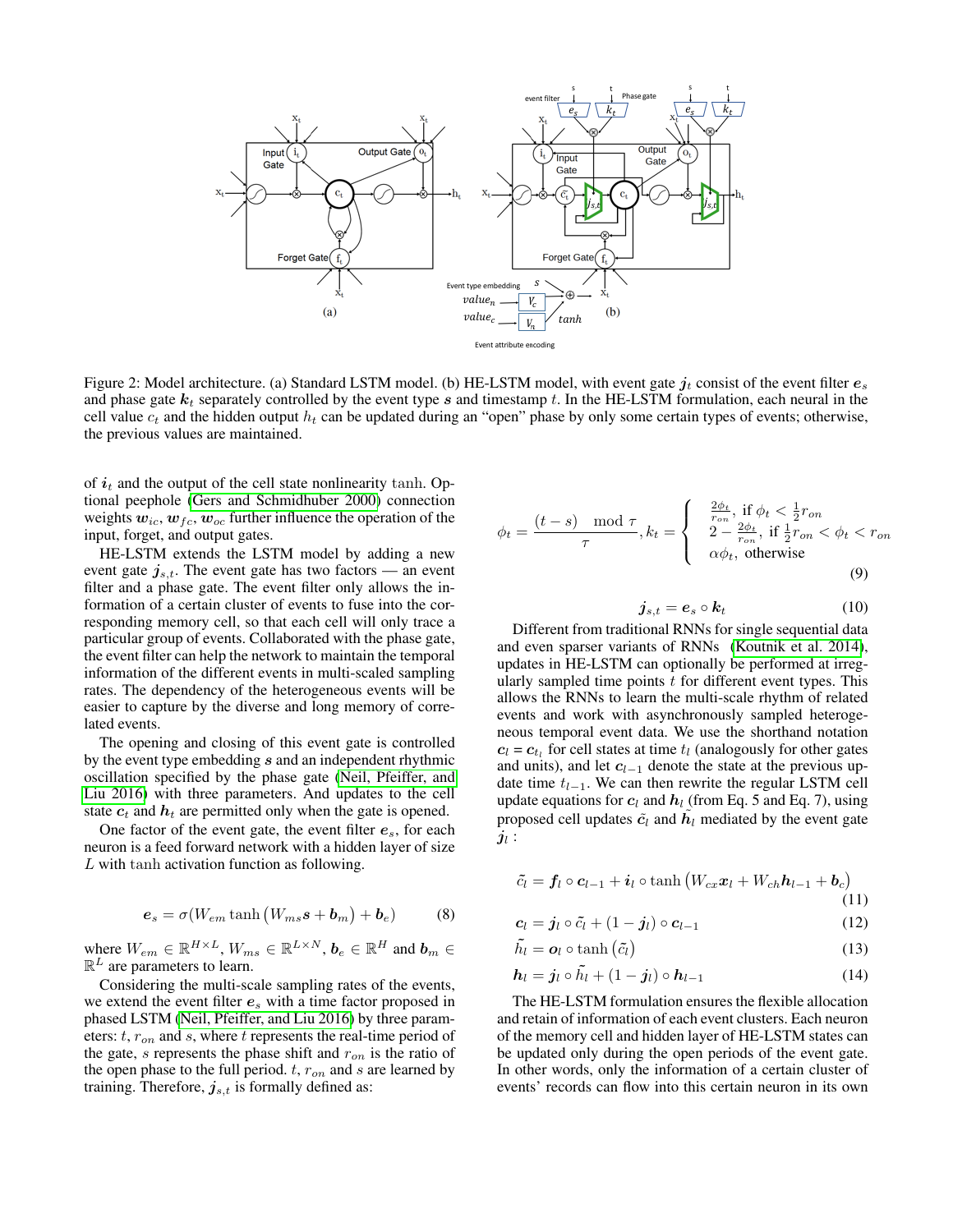

Figure 2: Model architecture. (a) Standard LSTM model. (b) HE-LSTM model, with event gate  $j_t$  consist of the event filter  $e_s$ and phase gate  $k_t$  separately controlled by the event type  $s$  and timestamp  $t$ . In the HE-LSTM formulation, each neural in the cell value  $c_t$  and the hidden output  $h_t$  can be updated during an "open" phase by only some certain types of events; otherwise, the previous values are maintained.

of  $i_t$  and the output of the cell state nonlinearity tanh. Optional peephole [\(Gers and Schmidhuber 2000\)](#page-7-13) connection weights  $w_{ic}, w_{fc}, w_{oc}$  further influence the operation of the input, forget, and output gates.

HE-LSTM extends the LSTM model by adding a new event gate  $j_{s,t}$ . The event gate has two factors — an event filter and a phase gate. The event filter only allows the information of a certain cluster of events to fuse into the corresponding memory cell, so that each cell will only trace a particular group of events. Collaborated with the phase gate, the event filter can help the network to maintain the temporal information of the different events in multi-scaled sampling rates. The dependency of the heterogeneous events will be easier to capture by the diverse and long memory of correlated events.

The opening and closing of this event gate is controlled by the event type embedding s and an independent rhythmic oscillation specified by the phase gate [\(Neil, Pfeiffer, and](#page-8-0) [Liu 2016\)](#page-8-0) with three parameters. And updates to the cell state  $c_t$  and  $h_t$  are permitted only when the gate is opened.

One factor of the event gate, the event filter  $e_s$ , for each neuron is a feed forward network with a hidden layer of size L with tanh activation function as following.

$$
\boldsymbol{e}_s = \sigma(W_{em} \tanh\left(W_{ms}\boldsymbol{s} + \boldsymbol{b}_m\right) + \boldsymbol{b}_e) \tag{8}
$$

where  $W_{em} \in \mathbb{R}^{H \times L}$ ,  $W_{ms} \in \mathbb{R}^{L \times N}$ ,  $\boldsymbol{b}_e \in \mathbb{R}^H$  and  $\boldsymbol{b}_m \in$  $\mathbb{R}^L$  are parameters to learn.

Considering the multi-scale sampling rates of the events, we extend the event filter  $e_s$  with a time factor proposed in phased LSTM [\(Neil, Pfeiffer, and Liu 2016\)](#page-8-0) by three parameters:  $t, r_{on}$  and  $s$ , where  $t$  represents the real-time period of the gate,  $s$  represents the phase shift and  $r_{on}$  is the ratio of the open phase to the full period.  $t$ ,  $r_{on}$  and  $s$  are learned by training. Therefore,  $j_{s,t}$  is formally defined as:

$$
\phi_t = \frac{(t-s) \mod \tau}{\tau}, k_t = \begin{cases} \frac{2\phi_t}{r_{on}}, \text{ if } \phi_t < \frac{1}{2}r_{on} \\ 2 - \frac{2\phi_t}{r_{on}}, \text{ if } \frac{1}{2}r_{on} < \phi_t < r_{on} \\ \alpha\phi_t, \text{ otherwise} \end{cases}
$$
\n
$$
(9)
$$

$$
\boldsymbol{j}_{s,t} = \boldsymbol{e}_s \circ \boldsymbol{k}_t \tag{10}
$$

Different from traditional RNNs for single sequential data and even sparser variants of RNNs [\(Koutnik et al. 2014\)](#page-7-12), updates in HE-LSTM can optionally be performed at irregularly sampled time points  $t$  for different event types. This allows the RNNs to learn the multi-scale rhythm of related events and work with asynchronously sampled heterogeneous temporal event data. We use the shorthand notation  $c_l = c_{t_l}$  for cell states at time  $t_l$  (analogously for other gates and units), and let  $c_{l-1}$  denote the state at the previous update time  $t_{l-1}$ . We can then rewrite the regular LSTM cell update equations for  $c_l$  and  $h_l$  (from Eq. 5 and Eq. 7), using proposed cell updates  $\tilde{c}_l$  and  $\tilde{h}_l$  mediated by the event gate  $j_l$  :

$$
\tilde{c}_l = \boldsymbol{f}_l \circ \boldsymbol{c}_{l-1} + \boldsymbol{i}_l \circ \tanh \left( W_{cx} \boldsymbol{x}_l + W_{ch} \boldsymbol{h}_{l-1} + \boldsymbol{b}_c \right)
$$

$$
\tilde{z} = (1, \ldots, 1)
$$

$$
\mathbf{c}_l = \mathbf{j}_l \circ \tilde{c}_l + (1 - \mathbf{j}_l) \circ \mathbf{c}_{l-1} \tag{12}
$$

$$
\tilde{h}_l = \boldsymbol{o}_l \circ \tanh\left(\tilde{c}_l\right) \tag{13}
$$

$$
\boldsymbol{h}_l = \boldsymbol{j}_l \circ \tilde{h}_l + (1 - \boldsymbol{j}_l) \circ \boldsymbol{h}_{l-1} \tag{14}
$$

The HE-LSTM formulation ensures the flexible allocation and retain of information of each event clusters. Each neuron of the memory cell and hidden layer of HE-LSTM states can be updated only during the open periods of the event gate. In other words, only the information of a certain cluster of events' records can flow into this certain neuron in its own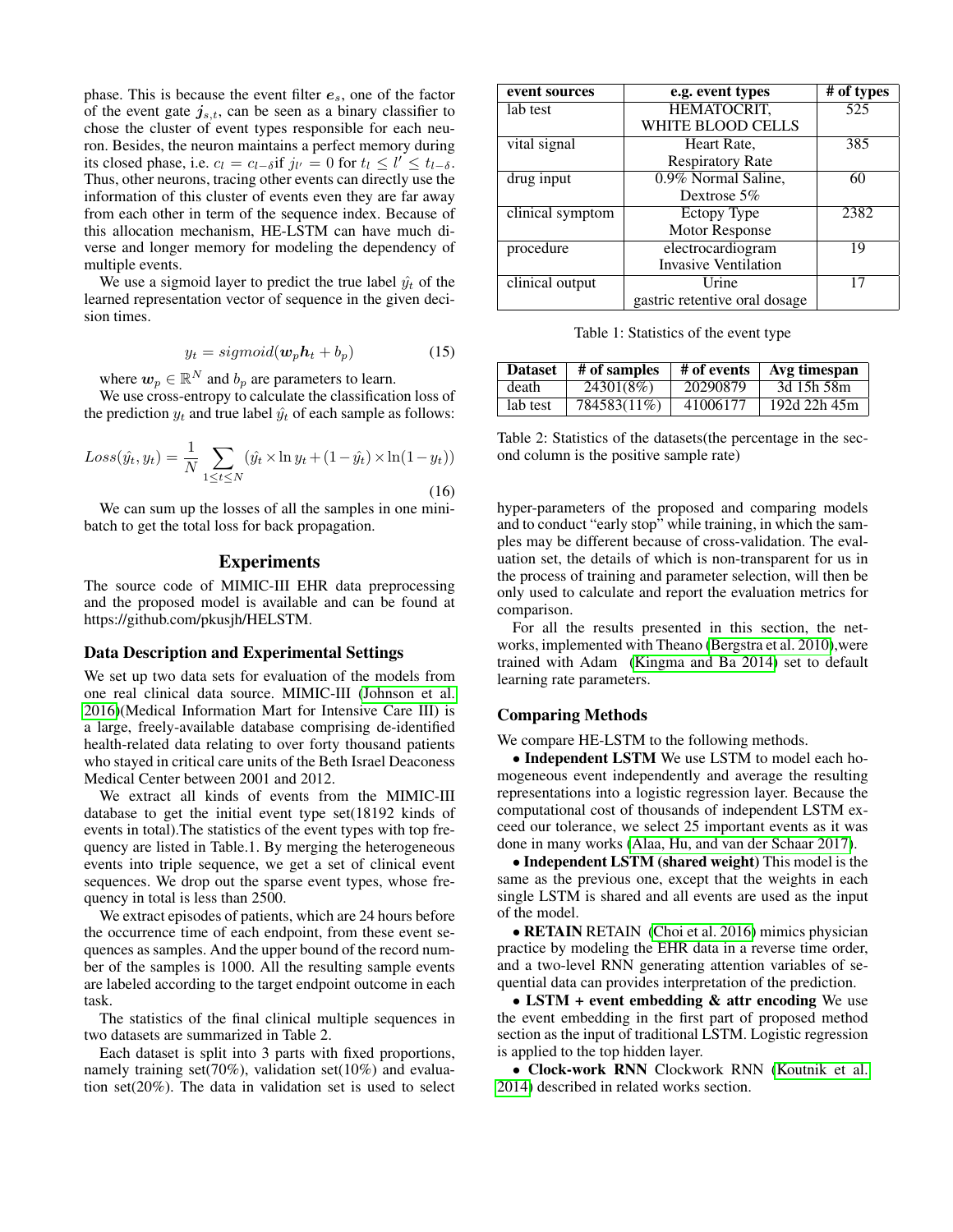phase. This is because the event filter  $e_s$ , one of the factor of the event gate  $j_{s,t}$ , can be seen as a binary classifier to chose the cluster of event types responsible for each neuron. Besides, the neuron maintains a perfect memory during its closed phase, i.e.  $c_l = c_{l-\delta}$ if  $j_{l'} = 0$  for  $t_l \le l' \le t_{l-\delta}$ . Thus, other neurons, tracing other events can directly use the information of this cluster of events even they are far away from each other in term of the sequence index. Because of this allocation mechanism, HE-LSTM can have much diverse and longer memory for modeling the dependency of multiple events.

We use a sigmoid layer to predict the true label  $\hat{y}_t$  of the learned representation vector of sequence in the given decision times.

$$
y_t = sigmoid(\boldsymbol{w}_p \boldsymbol{h}_t + b_p) \tag{15}
$$

where  $w_p \in \mathbb{R}^N$  and  $b_p$  are parameters to learn.

We use cross-entropy to calculate the classification loss of the prediction  $y_t$  and true label  $\hat{y_t}$  of each sample as follows:

$$
Loss(\hat{y_t}, y_t) = \frac{1}{N} \sum_{1 \le t \le N} (\hat{y_t} \times \ln y_t + (1 - \hat{y_t}) \times \ln(1 - y_t))
$$
\n(16)

We can sum up the losses of all the samples in one minibatch to get the total loss for back propagation.

# Experiments

The source code of MIMIC-III EHR data preprocessing and the proposed model is available and can be found at https://github.com/pkusjh/HELSTM.

#### Data Description and Experimental Settings

We set up two data sets for evaluation of the models from one real clinical data source. MIMIC-III [\(Johnson et al.](#page-7-14) [2016\)](#page-7-14)(Medical Information Mart for Intensive Care III) is a large, freely-available database comprising de-identified health-related data relating to over forty thousand patients who stayed in critical care units of the Beth Israel Deaconess Medical Center between 2001 and 2012.

We extract all kinds of events from the MIMIC-III database to get the initial event type set(18192 kinds of events in total).The statistics of the event types with top frequency are listed in Table.1. By merging the heterogeneous events into triple sequence, we get a set of clinical event sequences. We drop out the sparse event types, whose frequency in total is less than 2500.

We extract episodes of patients, which are 24 hours before the occurrence time of each endpoint, from these event sequences as samples. And the upper bound of the record number of the samples is 1000. All the resulting sample events are labeled according to the target endpoint outcome in each task.

The statistics of the final clinical multiple sequences in two datasets are summarized in Table 2.

Each dataset is split into 3 parts with fixed proportions, namely training set(70%), validation set(10%) and evaluation set(20%). The data in validation set is used to select

| event sources    | e.g. event types              | # of types |
|------------------|-------------------------------|------------|
| lab test         | HEMATOCRIT,                   | 525        |
|                  | WHITE BLOOD CELLS             |            |
| vital signal     | Heart Rate,                   | 385        |
|                  | <b>Respiratory Rate</b>       |            |
| drug input       | 0.9% Normal Saline,           | 60         |
|                  | Dextrose 5%                   |            |
| clinical symptom | Ectopy Type                   | 2382       |
|                  | Motor Response                |            |
| procedure        | electrocardiogram             | 19         |
|                  | <b>Invasive Ventilation</b>   |            |
| clinical output  | Urine)                        |            |
|                  | gastric retentive oral dosage |            |

| Table 1: Statistics of the event type |  |
|---------------------------------------|--|
|---------------------------------------|--|

| <b>Dataset</b> | # of samples | # of events | Avg timespan |
|----------------|--------------|-------------|--------------|
| death          | 24301(8%)    | 20290879    | 3d 15h 58m   |
| lab test       | 784583(11\%) | 41006177    | 192d 22h 45m |

Table 2: Statistics of the datasets(the percentage in the second column is the positive sample rate)

hyper-parameters of the proposed and comparing models and to conduct "early stop" while training, in which the samples may be different because of cross-validation. The evaluation set, the details of which is non-transparent for us in the process of training and parameter selection, will then be only used to calculate and report the evaluation metrics for comparison.

For all the results presented in this section, the net-works, implemented with Theano [\(Bergstra et al. 2010\)](#page-7-15), were trained with Adam [\(Kingma and Ba 2014\)](#page-7-16) set to default learning rate parameters.

#### Comparing Methods

We compare HE-LSTM to the following methods.

• Independent LSTM We use LSTM to model each homogeneous event independently and average the resulting representations into a logistic regression layer. Because the computational cost of thousands of independent LSTM exceed our tolerance, we select 25 important events as it was done in many works [\(Alaa, Hu, and van der Schaar 2017\)](#page-7-7).

• Independent LSTM (shared weight) This model is the same as the previous one, except that the weights in each single LSTM is shared and all events are used as the input of the model.

• RETAIN RETAIN [\(Choi et al. 2016\)](#page-7-10) mimics physician practice by modeling the EHR data in a reverse time order, and a two-level RNN generating attention variables of sequential data can provides interpretation of the prediction.

• LSTM + event embedding  $\&$  attr encoding We use the event embedding in the first part of proposed method section as the input of traditional LSTM. Logistic regression is applied to the top hidden layer.

• Clock-work RNN Clockwork RNN [\(Koutnik et al.](#page-7-12) [2014\)](#page-7-12) described in related works section.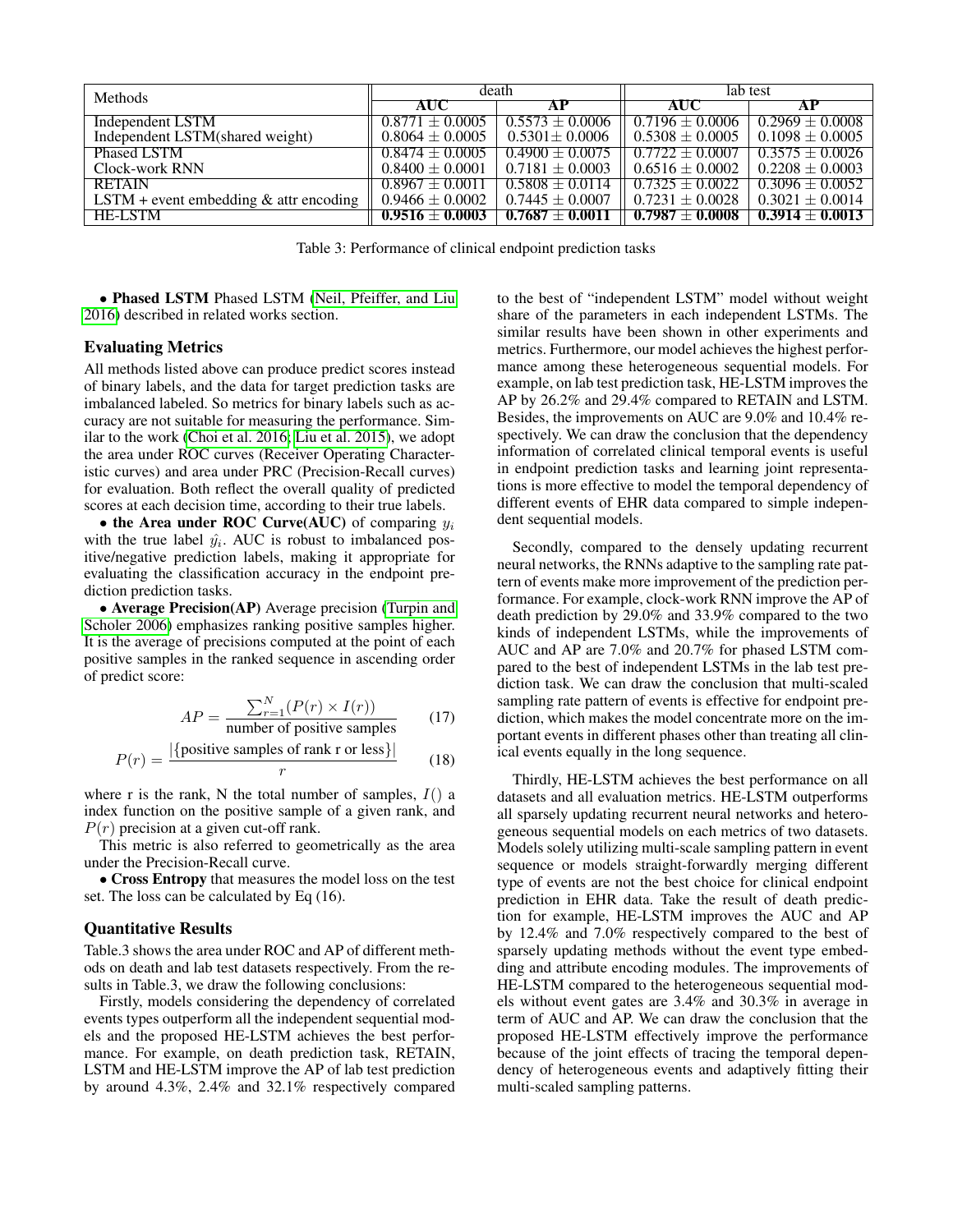| <b>Methods</b>                            | death               |                     | lab test                        |                     |
|-------------------------------------------|---------------------|---------------------|---------------------------------|---------------------|
|                                           | <b>AUC</b>          | АP                  | AUC-                            |                     |
| Independent LSTM                          | $0.8771 \pm 0.0005$ | $0.5573 \pm 0.0006$ | $0.7196 \pm 0.0006$             | $0.2969 \pm 0.0008$ |
| Independent LSTM(shared weight)           | $0.8064 \pm 0.0005$ | $0.5301 \pm 0.0006$ | $0.5308 \pm 0.0005$             | $0.1098 \pm 0.0005$ |
| <b>Phased LSTM</b>                        | $0.8474 + 0.0005$   | $0.4900 \pm 0.0075$ | $0.7722 + 0.0007$               | $0.3575 \pm 0.0026$ |
| <b>Clock-work RNN</b>                     | $0.8400 \pm 0.0001$ | $0.7181 \pm 0.0003$ | $0.6516 \pm 0.0002$             | $0.2208 \pm 0.0003$ |
| <b>RETAIN</b>                             | $0.8967 \pm 0.0011$ | $0.5808 \pm 0.0114$ | $\Box$ 0.7325 $\pm$ 0.0022      | $0.3096 \pm 0.0052$ |
| LSTM + event embedding $\&$ attr encoding | $0.9466 \pm 0.0002$ | $0.7445 \pm 0.0007$ | $0.7231 \pm 0.0028$             | $0.3021 \pm 0.0014$ |
| <b>HE-LSTM</b>                            | $0.9516 \pm 0.0003$ | $0.7687 \pm 0.0011$ | $\pm$ 0.7987 $\pm$ 0.0008 $\pm$ | $0.3914 \pm 0.0013$ |

Table 3: Performance of clinical endpoint prediction tasks

• Phased LSTM Phased LSTM [\(Neil, Pfeiffer, and Liu](#page-8-0) [2016\)](#page-8-0) described in related works section.

## Evaluating Metrics

All methods listed above can produce predict scores instead of binary labels, and the data for target prediction tasks are imbalanced labeled. So metrics for binary labels such as accuracy are not suitable for measuring the performance. Similar to the work [\(Choi et al. 2016;](#page-7-10) [Liu et al. 2015\)](#page-7-8), we adopt the area under ROC curves (Receiver Operating Characteristic curves) and area under PRC (Precision-Recall curves) for evaluation. Both reflect the overall quality of predicted scores at each decision time, according to their true labels.

• the Area under ROC Curve(AUC) of comparing  $y_i$ with the true label  $\hat{y}_i$ . AUC is robust to imbalanced positive/negative prediction labels, making it appropriate for evaluating the classification accuracy in the endpoint prediction prediction tasks.

• Average Precision(AP) Average precision [\(Turpin and](#page-8-3) [Scholer 2006\)](#page-8-3) emphasizes ranking positive samples higher. It is the average of precisions computed at the point of each positive samples in the ranked sequence in ascending order of predict score:

$$
AP = \frac{\sum_{r=1}^{N} (P(r) \times I(r))}{\text{number of positive samples}} \tag{17}
$$

$$
P(r) = \frac{|\{\text{positive samples of rank r or less}\}|}{r}
$$
 (18)

where r is the rank, N the total number of samples,  $I()$  a index function on the positive sample of a given rank, and  $P(r)$  precision at a given cut-off rank.

This metric is also referred to geometrically as the area under the Precision-Recall curve.

• Cross Entropy that measures the model loss on the test set. The loss can be calculated by Eq (16).

#### Quantitative Results

Table.3 shows the area under ROC and AP of different methods on death and lab test datasets respectively. From the results in Table.3, we draw the following conclusions:

Firstly, models considering the dependency of correlated events types outperform all the independent sequential models and the proposed HE-LSTM achieves the best performance. For example, on death prediction task, RETAIN, LSTM and HE-LSTM improve the AP of lab test prediction by around 4.3%, 2.4% and 32.1% respectively compared

to the best of "independent LSTM" model without weight share of the parameters in each independent LSTMs. The similar results have been shown in other experiments and metrics. Furthermore, our model achieves the highest performance among these heterogeneous sequential models. For example, on lab test prediction task, HE-LSTM improves the AP by 26.2% and 29.4% compared to RETAIN and LSTM. Besides, the improvements on AUC are 9.0% and 10.4% respectively. We can draw the conclusion that the dependency information of correlated clinical temporal events is useful in endpoint prediction tasks and learning joint representations is more effective to model the temporal dependency of different events of EHR data compared to simple independent sequential models.

Secondly, compared to the densely updating recurrent neural networks, the RNNs adaptive to the sampling rate pattern of events make more improvement of the prediction performance. For example, clock-work RNN improve the AP of death prediction by 29.0% and 33.9% compared to the two kinds of independent LSTMs, while the improvements of AUC and AP are 7.0% and 20.7% for phased LSTM compared to the best of independent LSTMs in the lab test prediction task. We can draw the conclusion that multi-scaled sampling rate pattern of events is effective for endpoint prediction, which makes the model concentrate more on the important events in different phases other than treating all clinical events equally in the long sequence.

Thirdly, HE-LSTM achieves the best performance on all datasets and all evaluation metrics. HE-LSTM outperforms all sparsely updating recurrent neural networks and heterogeneous sequential models on each metrics of two datasets. Models solely utilizing multi-scale sampling pattern in event sequence or models straight-forwardly merging different type of events are not the best choice for clinical endpoint prediction in EHR data. Take the result of death prediction for example, HE-LSTM improves the AUC and AP by 12.4% and 7.0% respectively compared to the best of sparsely updating methods without the event type embedding and attribute encoding modules. The improvements of HE-LSTM compared to the heterogeneous sequential models without event gates are 3.4% and 30.3% in average in term of AUC and AP. We can draw the conclusion that the proposed HE-LSTM effectively improve the performance because of the joint effects of tracing the temporal dependency of heterogeneous events and adaptively fitting their multi-scaled sampling patterns.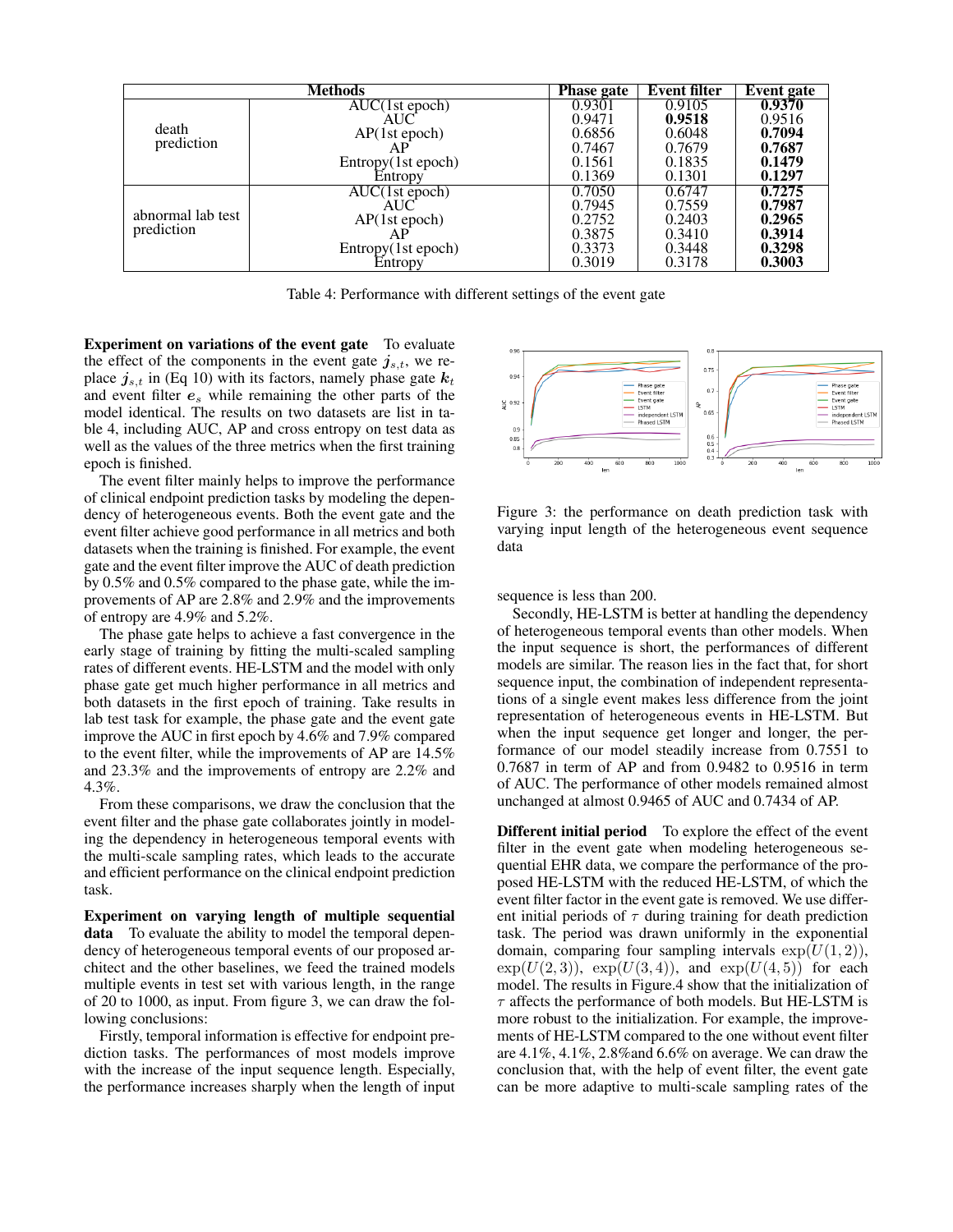|                                 | Methods                                   | <b>Phase gate</b> | <b>Event filter</b> | <b>Event gate</b> |
|---------------------------------|-------------------------------------------|-------------------|---------------------|-------------------|
| death<br>prediction             | $\overline{\text{AUC}(1\text{st epoch})}$ | 0.9301            | 0.9105              | 0.9370            |
|                                 | AUC                                       | 0.9471            | 0.9518              | 0.9516            |
|                                 | AP(1st epoch)                             | 0.6856            | 0.6048              | 0.7094            |
|                                 | АP                                        | 0.7467            | 0.7679              | 0.7687            |
|                                 | Entropy(1st epoch)                        | 0.1561            | 0.1835              | 0.1479            |
|                                 | Entropy                                   | 0.1369            | 0.1301              | 0.1297            |
| abnormal lab test<br>prediction | $\overline{\text{AUC}(\text{1st epoch})}$ | 0.7050            | 0.6747              | 0.7275            |
|                                 | AUC                                       | 0.7945            | 0.7559              | 0.7987            |
|                                 | AP(1st epoch)                             | 0.2752            | 0.2403              | 0.2965            |
|                                 | AP                                        | 0.3875            | 0.3410              | 0.3914            |
|                                 | Entropy(1st epoch)                        | 0.3373            | 0.3448              | 0.3298            |
|                                 | Entropy                                   | 0.3019            | 0.3178              | 0.3003            |

Table 4: Performance with different settings of the event gate

Experiment on variations of the event gate To evaluate the effect of the components in the event gate  $j_{s,t}$ , we replace  $j_{s,t}$  in (Eq 10) with its factors, namely phase gate  $k_t$ and event filter  $e_s$  while remaining the other parts of the model identical. The results on two datasets are list in table 4, including AUC, AP and cross entropy on test data as well as the values of the three metrics when the first training epoch is finished.

The event filter mainly helps to improve the performance of clinical endpoint prediction tasks by modeling the dependency of heterogeneous events. Both the event gate and the event filter achieve good performance in all metrics and both datasets when the training is finished. For example, the event gate and the event filter improve the AUC of death prediction by 0.5% and 0.5% compared to the phase gate, while the improvements of AP are 2.8% and 2.9% and the improvements of entropy are 4.9% and 5.2%.

The phase gate helps to achieve a fast convergence in the early stage of training by fitting the multi-scaled sampling rates of different events. HE-LSTM and the model with only phase gate get much higher performance in all metrics and both datasets in the first epoch of training. Take results in lab test task for example, the phase gate and the event gate improve the AUC in first epoch by 4.6% and 7.9% compared to the event filter, while the improvements of AP are 14.5% and 23.3% and the improvements of entropy are 2.2% and 4.3%.

From these comparisons, we draw the conclusion that the event filter and the phase gate collaborates jointly in modeling the dependency in heterogeneous temporal events with the multi-scale sampling rates, which leads to the accurate and efficient performance on the clinical endpoint prediction task.

Experiment on varying length of multiple sequential data To evaluate the ability to model the temporal dependency of heterogeneous temporal events of our proposed architect and the other baselines, we feed the trained models multiple events in test set with various length, in the range of 20 to 1000, as input. From figure 3, we can draw the following conclusions:

Firstly, temporal information is effective for endpoint prediction tasks. The performances of most models improve with the increase of the input sequence length. Especially, the performance increases sharply when the length of input



Figure 3: the performance on death prediction task with varying input length of the heterogeneous event sequence data

sequence is less than 200.

Secondly, HE-LSTM is better at handling the dependency of heterogeneous temporal events than other models. When the input sequence is short, the performances of different models are similar. The reason lies in the fact that, for short sequence input, the combination of independent representations of a single event makes less difference from the joint representation of heterogeneous events in HE-LSTM. But when the input sequence get longer and longer, the performance of our model steadily increase from 0.7551 to 0.7687 in term of AP and from 0.9482 to 0.9516 in term of AUC. The performance of other models remained almost unchanged at almost 0.9465 of AUC and 0.7434 of AP.

Different initial period To explore the effect of the event filter in the event gate when modeling heterogeneous sequential EHR data, we compare the performance of the proposed HE-LSTM with the reduced HE-LSTM, of which the event filter factor in the event gate is removed. We use different initial periods of  $\tau$  during training for death prediction task. The period was drawn uniformly in the exponential domain, comparing four sampling intervals  $\exp(U(1, 2)),$  $exp(U(2, 3))$ ,  $exp(U(3, 4))$ , and  $exp(U(4, 5))$  for each model. The results in Figure.4 show that the initialization of  $\tau$  affects the performance of both models. But HE-LSTM is more robust to the initialization. For example, the improvements of HE-LSTM compared to the one without event filter are 4.1%, 4.1%, 2.8%and 6.6% on average. We can draw the conclusion that, with the help of event filter, the event gate can be more adaptive to multi-scale sampling rates of the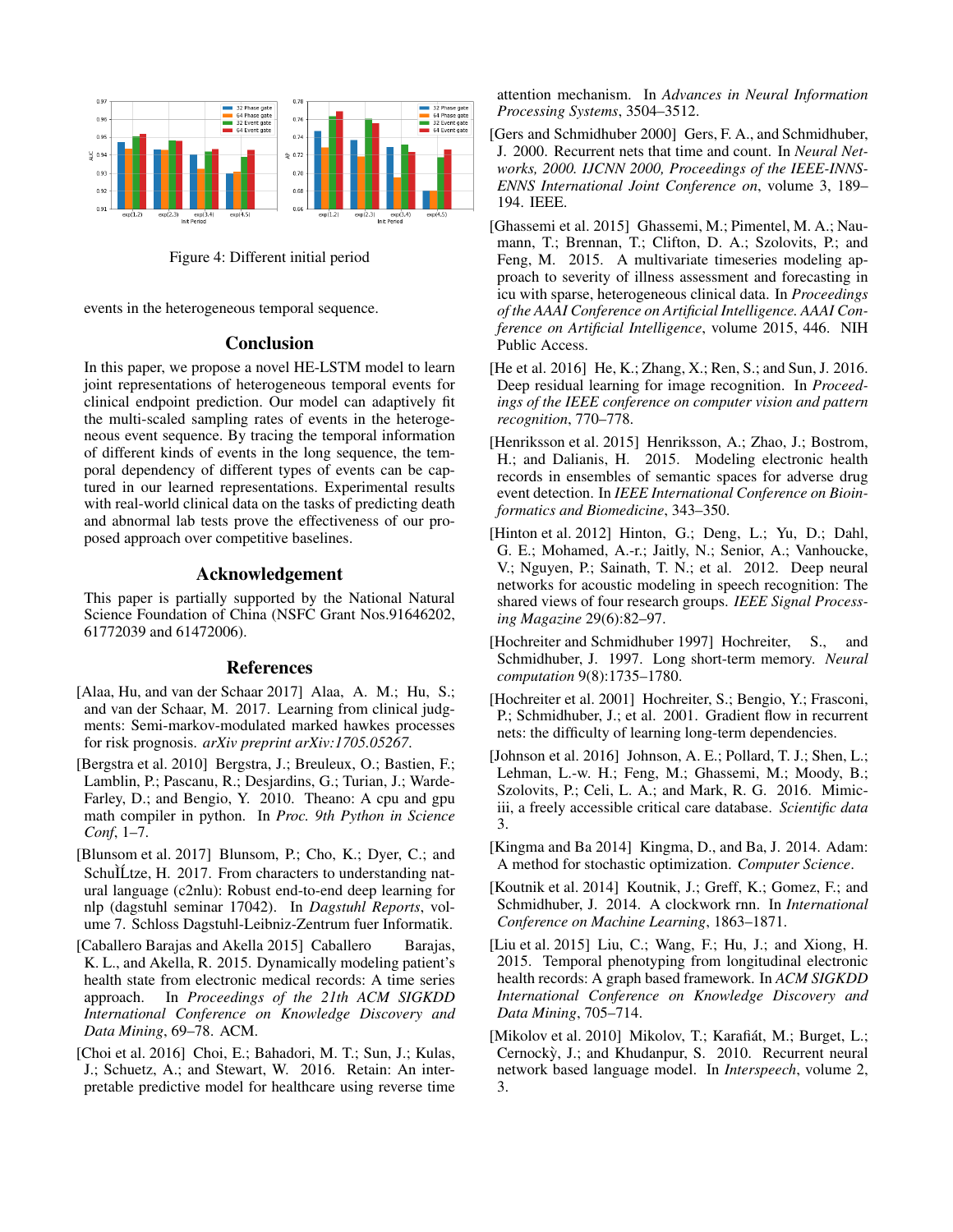

Figure 4: Different initial period

events in the heterogeneous temporal sequence.

# Conclusion

In this paper, we propose a novel HE-LSTM model to learn joint representations of heterogeneous temporal events for clinical endpoint prediction. Our model can adaptively fit the multi-scaled sampling rates of events in the heterogeneous event sequence. By tracing the temporal information of different kinds of events in the long sequence, the temporal dependency of different types of events can be captured in our learned representations. Experimental results with real-world clinical data on the tasks of predicting death and abnormal lab tests prove the effectiveness of our proposed approach over competitive baselines.

## Acknowledgement

This paper is partially supported by the National Natural Science Foundation of China (NSFC Grant Nos.91646202, 61772039 and 61472006).

## References

- <span id="page-7-7"></span>[Alaa, Hu, and van der Schaar 2017] Alaa, A. M.; Hu, S.; and van der Schaar, M. 2017. Learning from clinical judgments: Semi-markov-modulated marked hawkes processes for risk prognosis. *arXiv preprint arXiv:1705.05267*.
- <span id="page-7-15"></span>[Bergstra et al. 2010] Bergstra, J.; Breuleux, O.; Bastien, F.; Lamblin, P.; Pascanu, R.; Desjardins, G.; Turian, J.; Warde-Farley, D.; and Bengio, Y. 2010. Theano: A cpu and gpu math compiler in python. In *Proc. 9th Python in Science Conf*, 1–7.
- <span id="page-7-2"></span>[Blunsom et al. 2017] Blunsom, P.; Cho, K.; Dyer, C.; and SchuÌĹtze, H. 2017. From characters to understanding natural language (c2nlu): Robust end-to-end deep learning for nlp (dagstuhl seminar 17042). In *Dagstuhl Reports*, volume 7. Schloss Dagstuhl-Leibniz-Zentrum fuer Informatik.
- <span id="page-7-6"></span>[Caballero Barajas and Akella 2015] Caballero Barajas, K. L., and Akella, R. 2015. Dynamically modeling patient's health state from electronic medical records: A time series approach. In *Proceedings of the 21th ACM SIGKDD International Conference on Knowledge Discovery and Data Mining*, 69–78. ACM.
- <span id="page-7-10"></span>[Choi et al. 2016] Choi, E.; Bahadori, M. T.; Sun, J.; Kulas, J.; Schuetz, A.; and Stewart, W. 2016. Retain: An interpretable predictive model for healthcare using reverse time

attention mechanism. In *Advances in Neural Information Processing Systems*, 3504–3512.

- <span id="page-7-13"></span>[Gers and Schmidhuber 2000] Gers, F. A., and Schmidhuber, J. 2000. Recurrent nets that time and count. In *Neural Networks, 2000. IJCNN 2000, Proceedings of the IEEE-INNS-ENNS International Joint Conference on*, volume 3, 189– 194. IEEE.
- <span id="page-7-5"></span>[Ghassemi et al. 2015] Ghassemi, M.; Pimentel, M. A.; Naumann, T.; Brennan, T.; Clifton, D. A.; Szolovits, P.; and Feng, M. 2015. A multivariate timeseries modeling approach to severity of illness assessment and forecasting in icu with sparse, heterogeneous clinical data. In *Proceedings of the AAAI Conference on Artificial Intelligence. AAAI Conference on Artificial Intelligence*, volume 2015, 446. NIH Public Access.
- <span id="page-7-0"></span>[He et al. 2016] He, K.; Zhang, X.; Ren, S.; and Sun, J. 2016. Deep residual learning for image recognition. In *Proceedings of the IEEE conference on computer vision and pattern recognition*, 770–778.
- <span id="page-7-9"></span>[Henriksson et al. 2015] Henriksson, A.; Zhao, J.; Bostrom, H.; and Dalianis, H. 2015. Modeling electronic health records in ensembles of semantic spaces for adverse drug event detection. In *IEEE International Conference on Bioinformatics and Biomedicine*, 343–350.
- <span id="page-7-1"></span>[Hinton et al. 2012] Hinton, G.; Deng, L.; Yu, D.; Dahl, G. E.; Mohamed, A.-r.; Jaitly, N.; Senior, A.; Vanhoucke, V.; Nguyen, P.; Sainath, T. N.; et al. 2012. Deep neural networks for acoustic modeling in speech recognition: The shared views of four research groups. *IEEE Signal Processing Magazine* 29(6):82–97.
- <span id="page-7-4"></span>[Hochreiter and Schmidhuber 1997] Hochreiter, S., and Schmidhuber, J. 1997. Long short-term memory. *Neural computation* 9(8):1735–1780.
- <span id="page-7-11"></span>[Hochreiter et al. 2001] Hochreiter, S.; Bengio, Y.; Frasconi, P.; Schmidhuber, J.; et al. 2001. Gradient flow in recurrent nets: the difficulty of learning long-term dependencies.
- <span id="page-7-14"></span>[Johnson et al. 2016] Johnson, A. E.; Pollard, T. J.; Shen, L.; Lehman, L.-w. H.; Feng, M.; Ghassemi, M.; Moody, B.; Szolovits, P.; Celi, L. A.; and Mark, R. G. 2016. Mimiciii, a freely accessible critical care database. *Scientific data* 3.
- <span id="page-7-16"></span>[Kingma and Ba 2014] Kingma, D., and Ba, J. 2014. Adam: A method for stochastic optimization. *Computer Science*.
- <span id="page-7-12"></span>[Koutnik et al. 2014] Koutnik, J.; Greff, K.; Gomez, F.; and Schmidhuber, J. 2014. A clockwork rnn. In *International Conference on Machine Learning*, 1863–1871.
- <span id="page-7-8"></span>[Liu et al. 2015] Liu, C.; Wang, F.; Hu, J.; and Xiong, H. 2015. Temporal phenotyping from longitudinal electronic health records: A graph based framework. In *ACM SIGKDD International Conference on Knowledge Discovery and Data Mining*, 705–714.
- <span id="page-7-3"></span>[Mikolov et al. 2010] Mikolov, T.; Karafiát, M.; Burget, L.; Cernocky, J.; and Khudanpur, S. 2010. Recurrent neural network based language model. In *Interspeech*, volume 2, 3.